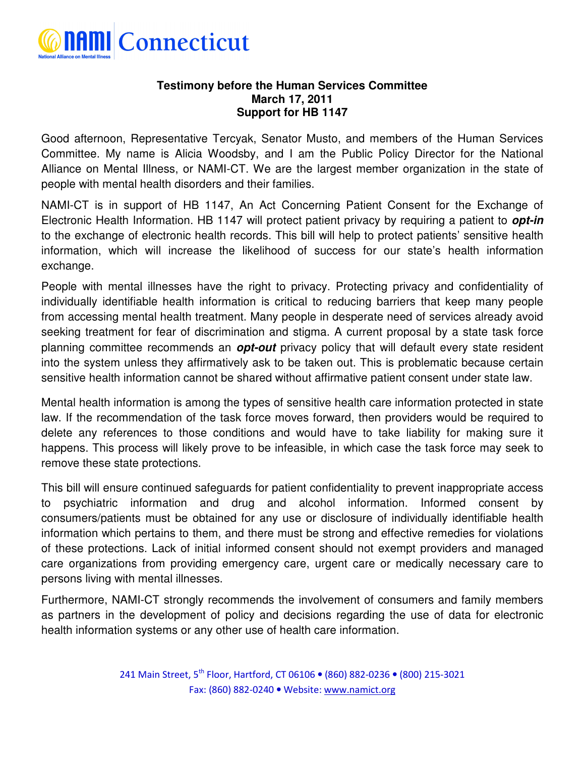

## **Testimony before the Human Services Committee March 17, 2011 Support for HB 1147**

Good afternoon, Representative Tercyak, Senator Musto, and members of the Human Services Committee. My name is Alicia Woodsby, and I am the Public Policy Director for the National Alliance on Mental Illness, or NAMI-CT. We are the largest member organization in the state of people with mental health disorders and their families.

NAMI-CT is in support of HB 1147, An Act Concerning Patient Consent for the Exchange of Electronic Health Information. HB 1147 will protect patient privacy by requiring a patient to **opt-in** to the exchange of electronic health records. This bill will help to protect patients' sensitive health information, which will increase the likelihood of success for our state's health information exchange.

People with mental illnesses have the right to privacy. Protecting privacy and confidentiality of individually identifiable health information is critical to reducing barriers that keep many people from accessing mental health treatment. Many people in desperate need of services already avoid seeking treatment for fear of discrimination and stigma. A current proposal by a state task force planning committee recommends an **opt-out** privacy policy that will default every state resident into the system unless they affirmatively ask to be taken out. This is problematic because certain sensitive health information cannot be shared without affirmative patient consent under state law.

Mental health information is among the types of sensitive health care information protected in state law. If the recommendation of the task force moves forward, then providers would be required to delete any references to those conditions and would have to take liability for making sure it happens. This process will likely prove to be infeasible, in which case the task force may seek to remove these state protections.

This bill will ensure continued safeguards for patient confidentiality to prevent inappropriate access to psychiatric information and drug and alcohol information. Informed consent by consumers/patients must be obtained for any use or disclosure of individually identifiable health information which pertains to them, and there must be strong and effective remedies for violations of these protections. Lack of initial informed consent should not exempt providers and managed care organizations from providing emergency care, urgent care or medically necessary care to persons living with mental illnesses.

Furthermore, NAMI-CT strongly recommends the involvement of consumers and family members as partners in the development of policy and decisions regarding the use of data for electronic health information systems or any other use of health care information.